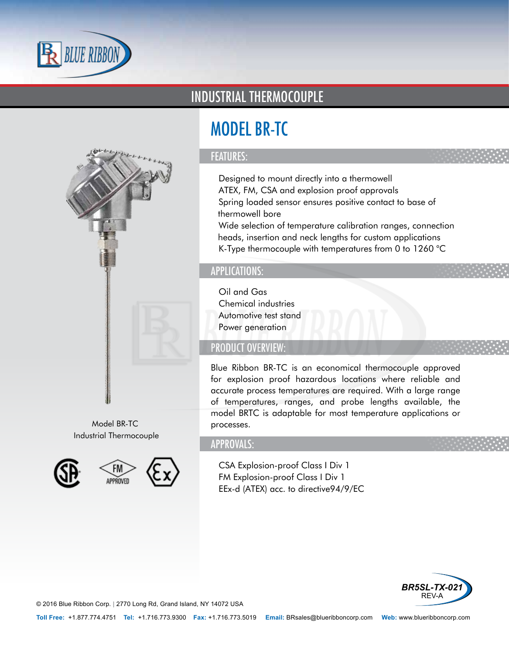



Model BR-TC Industrial Thermocouple



## INDUSTRIAL THERMOCOUPLE

# MODEL BR-TC

### FEATURES:

- Designed to mount directly into a thermowell
- ATEX, FM, CSA and explosion proof approvals
- Spring loaded sensor ensures positive contact to base of thermowell bore
- Wide selection of temperature calibration ranges, connection heads, insertion and neck lengths for custom applications
- K-Type thermocouple with temperatures from 0 to 1260 °C

#### APPLICATIONS:

- Oil and Gas
- Chemical industries
- Automotive test stand
- Power generation

## PRODUCT OVERVIEW:

Blue Ribbon BR-TC is an economical thermocouple approved for explosion proof hazardous locations where reliable and accurate process temperatures are required. With a large range of temperatures, ranges, and probe lengths available, the model BRTC is adaptable for most temperature applications or processes.

#### APPROVALS:

- CSA Explosion-proof Class I Div 1
- FM Explosion-proof Class I Div 1
- EEx-d (ATEX) acc. to directive94/9/EC



© 2016 Blue Ribbon Corp. *<sup>|</sup>* 2770 Long Rd, Grand Island, NY 14072 USA

**Toll Free:** +1.877.774.4751 **Tel:** +1.716.773.9300 **Fax:** +1.716.773.5019 **Email:** BRsales@blueribboncorp.com **Web:** www.blueribboncorp.com